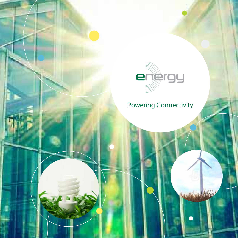

# Powering Connectivity

i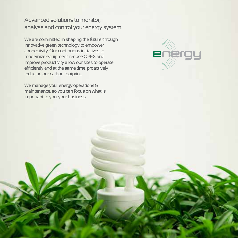Advanced solutions to monitor, analyse and control your energy system.

We are committed in shaping the future through innovative green technology to empower connectivity. Our continuous initiatives to modernize equipment, reduce OPEX and improve productivity allow our sites to operate efficiently and at the same time, proactively reducing our carbon footprint.

We manage your energy operations & maintenance, so you can focus on what is important to you, your business.

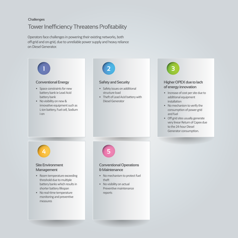#### **Challenges**

#### Tower Inefficiency Threatens Profitability

Operators face challenges in powering their existing networks, both off-grid and on-grid, due to unreliable power supply and heavy reliance on Diesel Generator.

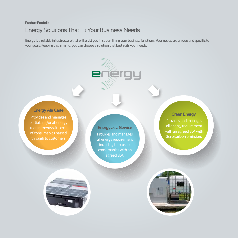## Energy Solutions That Fit Your Business Needs **Product Portfolio**

Energy is a reliable infrastructure that will assist you in streamlining your business functions. Your needs are unique and specific to your goals. Keeping this in mind, you can choose a solution that best suits your needs.

energy

**Creen Energy Provides and manages and manages of the contract of the contract of the contract of the contract of the contract of the contract of the contract of the contract of the contract of the contract of the contract** partial and/or all energy requirements with cost of consumables passed through to customers **Energy Ala Carte**

Provides and manages all energy requirement including the cost of consumables with an agreed SLA. **Energy as a Service**

Provides and manages all energy requirement with an agreed SLA with **Zero carbon emission.** 



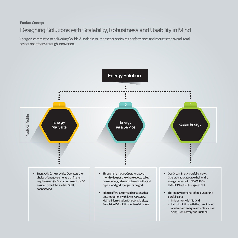# Designing Solutions with Scalability, Robustness and Usability in Mind **Product Concept**

Energy is committed to delivering flexible & scalable solutions that optimizes performance and reduces the overall total cost of operations through innovation.

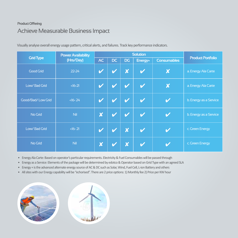## Achieve Measurable Business Impact **Product Offering**

| <b>Grid Type</b>  | <b>Power Availability</b><br>(Hrs/Day) | <b>Solution</b>           |    |                            |                            |                           |                          |
|-------------------|----------------------------------------|---------------------------|----|----------------------------|----------------------------|---------------------------|--------------------------|
|                   |                                        | <b>AC</b>                 | DC | <b>DG</b>                  | Energy+                    | <b>Consumables</b>        | <b>Product Portfolio</b> |
| <b>Good Grid</b>  | $22 - 24$                              |                           |    | $\boldsymbol{\mathsf{X}}$  | $\boldsymbol{\mathcal{U}}$ | $\overline{\textbf{x}}$   | a. Energy Ala Carte      |
| Low/Bad Grid      | $<16-21$                               |                           |    |                            |                            | $\boldsymbol{\mathsf{X}}$ | a. Energy Ala Carte      |
| Good/Bad/Low Grid | $<16-24$                               | V                         |    |                            |                            |                           | b. Energy as a Service   |
| No Grid           | Nil                                    | $\overline{\textbf{x}}$   |    | $\boldsymbol{\mathscr{U}}$ | V                          | V                         | b. Energy as a Service   |
| Low/Bad Grid      | $<16-21$                               | V                         |    | X                          | $\boldsymbol{\mathscr{U}}$ |                           | c. Green Energy          |
| No Grid           | <b>Nil</b>                             | $\boldsymbol{\mathsf{X}}$ |    | $\boldsymbol{\mathsf{X}}$  |                            |                           | c. Green Energy          |

Visually analyse overall energy usage pattern, critical alerts, and failures. Track key performance indicators.

• Energy Ala Carte: Based on operator's particular requirements. Electricity & Fuel Consumables will be passed through

• Energy as a Service: Elements of the package will be determined by edotco & Operator based on Grid Type with an agreed SLA

• Energy + is the advanced alternate energy source of AC & DC such as Solar, Wind, Fuel Cell, L-ion Battery and others

• All sites with our Energy capability will be "echorised". There are 2 price options: 1) Monthly fee 2) Price per KW hour

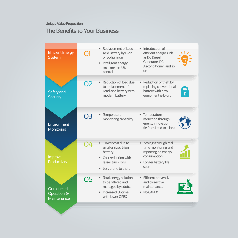**Unique Value Proposition**

#### The Benefits to Your Business